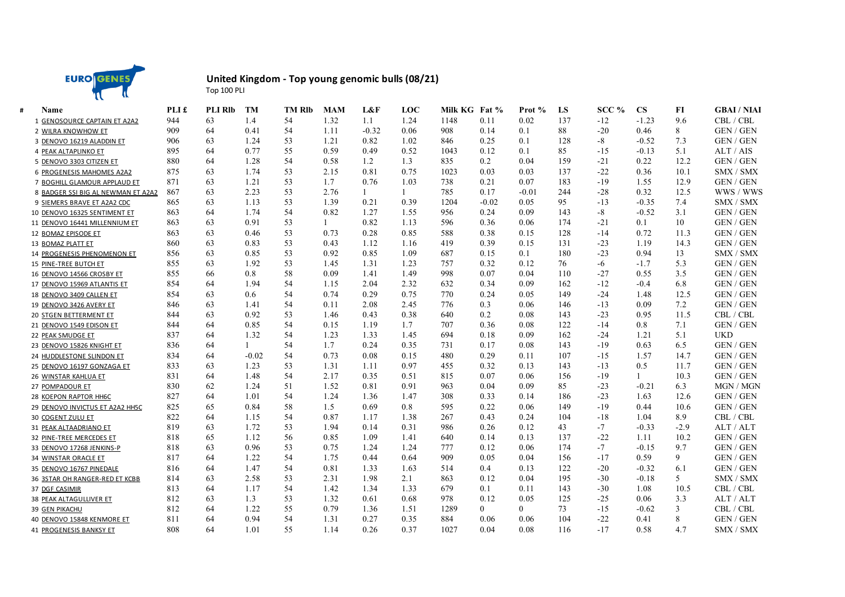

## **United Kingdom - Top young genomic bulls (08/21)** Top 100 PLI

| Name                               | PLI £ | <b>PLI RIb</b> | <b>TM</b> | <b>TM RIb</b> | <b>MAM</b> | L&F     | LOC  | Milk KG Fat % |                | Prot %         | LS  | SCC % | <b>CS</b>    | FI     | <b>GBAI/NIAI</b> |
|------------------------------------|-------|----------------|-----------|---------------|------------|---------|------|---------------|----------------|----------------|-----|-------|--------------|--------|------------------|
| 1 GENOSOURCE CAPTAIN ET A2A2       | 944   | 63             | 1.4       | 54            | 1.32       | 1.1     | 1.24 | 1148          | 0.11           | 0.02           | 137 | $-12$ | $-1.23$      | 9.6    | CBL / CBL        |
| 2 WILRA KNOWHOW ET                 | 909   | 64             | 0.41      | 54            | 1.11       | $-0.32$ | 0.06 | 908           | 0.14           | 0.1            | 88  | $-20$ | 0.46         | 8      | <b>GEN/GEN</b>   |
| 3 DENOVO 16219 ALADDIN ET          | 906   | 63             | 1.24      | 53            | 1.21       | 0.82    | 1.02 | 846           | 0.25           | 0.1            | 128 | $-8$  | $-0.52$      | 7.3    | <b>GEN/GEN</b>   |
| 4 PEAK ALTAPLINKO ET               | 895   | 64             | 0.77      | 55            | 0.59       | 0.49    | 0.52 | 1043          | 0.12           | 0.1            | 85  | $-15$ | $-0.13$      | 5.1    | ALT / AIS        |
| 5 DENOVO 3303 CITIZEN ET           | 880   | 64             | 1.28      | 54            | 0.58       | 1.2     | 1.3  | 835           | 0.2            | 0.04           | 159 | $-21$ | 0.22         | 12.2   | <b>GEN / GEN</b> |
| 6 PROGENESIS MAHOMES A2A2          | 875   | 63             | 1.74      | 53            | 2.15       | 0.81    | 0.75 | 1023          | 0.03           | 0.03           | 137 | $-22$ | 0.36         | 10.1   | SMX / SMX        |
| 7 BOGHILL GLAMOUR APPLAUD ET       | 871   | 63             | 1.21      | 53            | 1.7        | 0.76    | 1.03 | 738           | 0.21           | 0.07           | 183 | $-19$ | 1.55         | 12.9   | <b>GEN / GEN</b> |
| 8 BADGER SSI BIG AL NEWMAN ET A2A2 | 867   | 63             | 2.23      | 53            | 2.76       | 1       | 1    | 785           | 0.17           | $-0.01$        | 244 | $-28$ | 0.32         | 12.5   | WWS / WWS        |
| 9 SIEMERS BRAVE ET A2A2 CDC        | 865   | 63             | 1.13      | 53            | 1.39       | 0.21    | 0.39 | 1204          | $-0.02$        | 0.05           | 95  | $-13$ | $-0.35$      | 7.4    | SMX / SMX        |
| 10 DENOVO 16325 SENTIMENT ET       | 863   | 64             | 1.74      | 54            | 0.82       | 1.27    | 1.55 | 956           | 0.24           | 0.09           | 143 | -8    | $-0.52$      | 3.1    | <b>GEN/GEN</b>   |
| 11 DENOVO 16441 MILLENNIUM ET      | 863   | 63             | 0.91      | 53            |            | 0.82    | 1.13 | 596           | 0.36           | 0.06           | 174 | $-21$ | 0.1          | 10     | <b>GEN/GEN</b>   |
| 12 BOMAZ EPISODE ET                | 863   | 63             | 0.46      | 53            | 0.73       | 0.28    | 0.85 | 588           | 0.38           | 0.15           | 128 | $-14$ | 0.72         | 11.3   | <b>GEN/GEN</b>   |
| 13 BOMAZ PLATT ET                  | 860   | 63             | 0.83      | 53            | 0.43       | 1.12    | 1.16 | 419           | 0.39           | 0.15           | 131 | $-23$ | 1.19         | 14.3   | <b>GEN/GEN</b>   |
| 14 PROGENESIS PHENOMENON ET        | 856   | 63             | 0.85      | 53            | 0.92       | 0.85    | 1.09 | 687           | 0.15           | 0.1            | 180 | $-23$ | 0.94         | 13     | SMX / SMX        |
| 15 PINE-TREE BUTCH ET              | 855   | 63             | 1.92      | 53            | 1.45       | 1.31    | 1.23 | 757           | 0.32           | 0.12           | 76  | -6    | $-1.7$       | 5.3    | <b>GEN / GEN</b> |
| 16 DENOVO 14566 CROSBY ET          | 855   | 66             | 0.8       | 58            | 0.09       | 1.41    | 1.49 | 998           | 0.07           | 0.04           | 110 | $-27$ | 0.55         | 3.5    | <b>GEN/GEN</b>   |
| 17 DENOVO 15969 ATLANTIS ET        | 854   | 64             | 1.94      | 54            | 1.15       | 2.04    | 2.32 | 632           | 0.34           | 0.09           | 162 | $-12$ | $-0.4$       | 6.8    | <b>GEN / GEN</b> |
| 18 DENOVO 3409 CALLEN ET           | 854   | 63             | 0.6       | 54            | 0.74       | 0.29    | 0.75 | 770           | 0.24           | 0.05           | 149 | $-24$ | 1.48         | 12.5   | <b>GEN / GEN</b> |
| 19 DENOVO 3426 AVERY ET            | 846   | 63             | 1.41      | 54            | 0.11       | 2.08    | 2.45 | 776           | 0.3            | 0.06           | 146 | $-13$ | 0.09         | 7.2    | <b>GEN / GEN</b> |
| 20 STGEN BETTERMENT ET             | 844   | 63             | 0.92      | 53            | 1.46       | 0.43    | 0.38 | 640           | 0.2            | 0.08           | 143 | $-23$ | 0.95         | 11.5   | CBL / CBL        |
| 21 DENOVO 1549 EDISON ET           | 844   | 64             | 0.85      | 54            | 0.15       | 1.19    | 1.7  | 707           | 0.36           | 0.08           | 122 | $-14$ | 0.8          | 7.1    | <b>GEN / GEN</b> |
| 22 PEAK SMUDGE ET                  | 837   | 64             | 1.32      | 54            | 1.23       | 1.33    | 1.45 | 694           | 0.18           | 0.09           | 162 | $-24$ | 1.21         | 5.1    | <b>UKD</b>       |
| 23 DENOVO 15826 KNIGHT ET          | 836   | 64             |           | 54            | 1.7        | 0.24    | 0.35 | 731           | 0.17           | 0.08           | 143 | $-19$ | 0.63         | 6.5    | <b>GEN/GEN</b>   |
| 24 HUDDLESTONE SLINDON ET          | 834   | 64             | $-0.02$   | 54            | 0.73       | 0.08    | 0.15 | 480           | 0.29           | 0.11           | 107 | $-15$ | 1.57         | 14.7   | <b>GEN / GEN</b> |
| 25 DENOVO 16197 GONZAGA ET         | 833   | 63             | 1.23      | 53            | 1.31       | 1.11    | 0.97 | 455           | 0.32           | 0.13           | 143 | $-13$ | 0.5          | 11.7   | <b>GEN/GEN</b>   |
| 26 WINSTAR KAHLUA ET               | 831   | 64             | 1.48      | 54            | 2.17       | 0.35    | 0.51 | 815           | 0.07           | 0.06           | 156 | $-19$ | $\mathbf{1}$ | 10.3   | <b>GEN / GEN</b> |
| 27 POMPADOUR ET                    | 830   | 62             | 1.24      | 51            | 1.52       | 0.81    | 0.91 | 963           | 0.04           | 0.09           | 85  | $-23$ | $-0.21$      | 6.3    | MGN / MGN        |
| 28 KOEPON RAPTOR HH6C              | 827   | 64             | 1.01      | 54            | 1.24       | 1.36    | 1.47 | 308           | 0.33           | 0.14           | 186 | $-23$ | 1.63         | 12.6   | <b>GEN/GEN</b>   |
| 29 DENOVO INVICTUS ET A2A2 HH5C    | 825   | 65             | 0.84      | 58            | 1.5        | 0.69    | 0.8  | 595           | 0.22           | 0.06           | 149 | $-19$ | 0.44         | 10.6   | <b>GEN/GEN</b>   |
| <b>30 COGENT ZULU ET</b>           | 822   | 64             | 1.15      | 54            | 0.87       | 1.17    | 1.38 | 267           | 0.43           | 0.24           | 104 | $-18$ | 1.04         | 8.9    | CBL / CBL        |
| 31 PEAK ALTAADRIANO ET             | 819   | 63             | 1.72      | 53            | 1.94       | 0.14    | 0.31 | 986           | 0.26           | 0.12           | 43  | $-7$  | $-0.33$      | $-2.9$ | ALT / ALT        |
| 32 PINE-TREE MERCEDES ET           | 818   | 65             | 1.12      | 56            | 0.85       | 1.09    | 1.41 | 640           | 0.14           | 0.13           | 137 | $-22$ | 1.11         | 10.2   | <b>GEN/GEN</b>   |
| 33 DENOVO 17268 JENKINS-P          | 818   | 63             | 0.96      | 53            | 0.75       | 1.24    | 1.24 | 777           | 0.12           | 0.06           | 174 | $-7$  | $-0.15$      | 9.7    | <b>GEN/GEN</b>   |
| 34 WINSTAR ORACLE ET               | 817   | 64             | 1.22      | 54            | 1.75       | 0.44    | 0.64 | 909           | 0.05           | 0.04           | 156 | -17   | 0.59         | 9      | <b>GEN / GEN</b> |
| 35 DENOVO 16767 PINEDALE           | 816   | 64             | 1.47      | 54            | 0.81       | 1.33    | 1.63 | 514           | 0.4            | 0.13           | 122 | $-20$ | $-0.32$      | 6.1    | GEN / GEN        |
| 36 3STAR OH RANGER-RED ET KCBB     | 814   | 63             | 2.58      | 53            | 2.31       | 1.98    | 2.1  | 863           | 0.12           | 0.04           | 195 | $-30$ | $-0.18$      | 5      | SMX / SMX        |
| 37 DGF CASIMIR                     | 813   | 64             | 1.17      | 54            | 1.42       | 1.34    | 1.33 | 679           | 0.1            | 0.11           | 143 | $-30$ | 1.08         | 10.5   | CBL / CBL        |
| 38 PEAK ALTAGULLIVER ET            | 812   | 63             | 1.3       | 53            | 1.32       | 0.61    | 0.68 | 978           | 0.12           | 0.05           | 125 | $-25$ | 0.06         | 3.3    | ALT / ALT        |
| 39 GEN PIKACHU                     | 812   | 64             | 1.22      | 55            | 0.79       | 1.36    | 1.51 | 1289          | $\overline{0}$ | $\overline{0}$ | 73  | $-15$ | $-0.62$      | 3      | CBL / CBL        |
| 40 DENOVO 15848 KENMORE ET         | 811   | 64             | 0.94      | 54            | 1.31       | 0.27    | 0.35 | 884           | 0.06           | 0.06           | 104 | $-22$ | 0.41         | 8      | <b>GEN / GEN</b> |
| 41 PROGENESIS BANKSY ET            | 808   | 64             | 1.01      | 55            | 1.14       | 0.26    | 0.37 | 1027          | 0.04           | 0.08           | 116 | $-17$ | 0.58         | 4.7    | SMX / SMX        |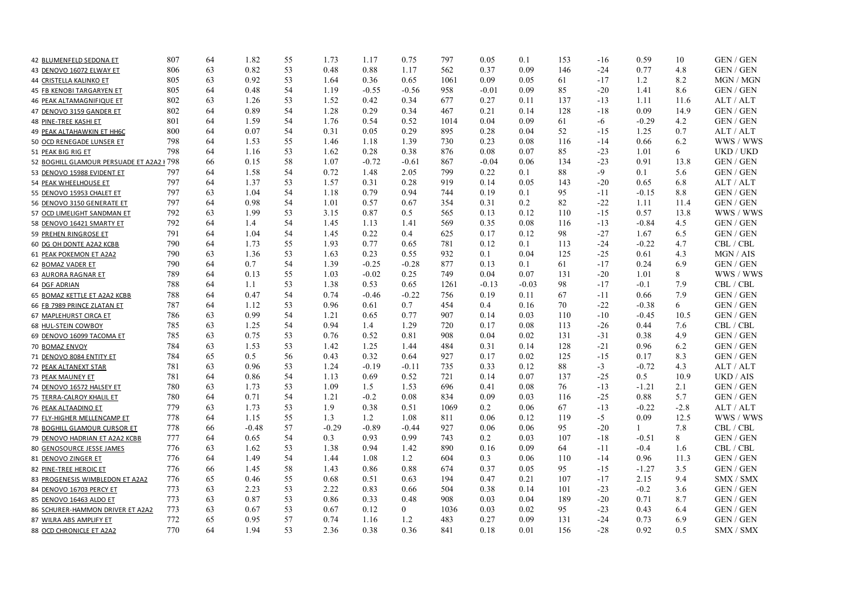| 42 BLUMENFELD SEDONA ET                   | 807 | 64 | 1.82    | 55 | 1.73    | 1.17    | 0.75           | 797  | 0.05    | 0.1     | 153 | -16   | 0.59    | 10     | GEN / GEN                   |
|-------------------------------------------|-----|----|---------|----|---------|---------|----------------|------|---------|---------|-----|-------|---------|--------|-----------------------------|
| 43 DENOVO 16072 ELWAY ET                  | 806 | 63 | 0.82    | 53 | 0.48    | 0.88    | 1.17           | 562  | 0.37    | 0.09    | 146 | $-24$ | 0.77    | 4.8    | <b>GEN / GEN</b>            |
| 44 CRISTELLA KALINKO ET                   | 805 | 63 | 0.92    | 53 | 1.64    | 0.36    | 0.65           | 1061 | 0.09    | 0.05    | 61  | $-17$ | 1.2     | 8.2    | MGN / MGN                   |
| 45 FB KENOBI TARGARYEN ET                 | 805 | 64 | 0.48    | 54 | 1.19    | $-0.55$ | $-0.56$        | 958  | $-0.01$ | 0.09    | 85  | $-20$ | 1.41    | 8.6    | <b>GEN / GEN</b>            |
| 46 PEAK ALTAMAGNIFIQUE ET                 | 802 | 63 | 1.26    | 53 | 1.52    | 0.42    | 0.34           | 677  | 0.27    | 0.11    | 137 | $-13$ | 1.11    | 11.6   | ALT / ALT                   |
| 47 DENOVO 3159 GANDER ET                  | 802 | 64 | 0.89    | 54 | 1.28    | 0.29    | 0.34           | 467  | 0.21    | 0.14    | 128 | $-18$ | 0.09    | 14.9   | <b>GEN/GEN</b>              |
| 48 PINE-TREE KASHI ET                     | 801 | 64 | 1.59    | 54 | 1.76    | 0.54    | 0.52           | 1014 | 0.04    | 0.09    | 61  | -6    | $-0.29$ | 4.2    | <b>GEN/GEN</b>              |
| 49 PEAK ALTAHAWKIN ET HH6C                | 800 | 64 | 0.07    | 54 | 0.31    | 0.05    | 0.29           | 895  | 0.28    | 0.04    | 52  | $-15$ | 1.25    | 0.7    | ALT / ALT                   |
| 50 OCD RENEGADE LUNSER ET                 | 798 | 64 | 1.53    | 55 | 1.46    | 1.18    | 1.39           | 730  | 0.23    | 0.08    | 116 | $-14$ | 0.66    | 6.2    | WWS / WWS                   |
| 51 PEAK BIG RIG ET                        | 798 | 64 | 1.16    | 53 | 1.62    | 0.28    | 0.38           | 876  | 0.08    | 0.07    | 85  | $-23$ | 1.01    | 6      | UKD / UKD                   |
| 52 BOGHILL GLAMOUR PERSUADE ET A2A2 I 798 |     | 66 | 0.15    | 58 | 1.07    | $-0.72$ | $-0.61$        | 867  | $-0.04$ | 0.06    | 134 | $-23$ | 0.91    | 13.8   | <b>GEN / GEN</b>            |
| 53 DENOVO 15988 EVIDENT ET                | 797 | 64 | 1.58    | 54 | 0.72    | 1.48    | 2.05           | 799  | 0.22    | 0.1     | 88  | -9    | 0.1     | 5.6    | GEN / GEN                   |
| 54 PEAK WHEELHOUSE ET                     | 797 | 64 | 1.37    | 53 | 1.57    | 0.31    | 0.28           | 919  | 0.14    | 0.05    | 143 | $-20$ | 0.65    | 6.8    | ALT / ALT                   |
| 55 DENOVO 15953 CHALET ET                 | 797 | 63 | 1.04    | 54 | 1.18    | 0.79    | 0.94           | 744  | 0.19    | 0.1     | 95  | $-11$ | $-0.15$ | 8.8    | GEN / GEN                   |
| 56 DENOVO 3150 GENERATE ET                | 797 | 64 | 0.98    | 54 | 1.01    | 0.57    | 0.67           | 354  | 0.31    | 0.2     | 82  | $-22$ | 1.11    | 11.4   | <b>GEN / GEN</b>            |
| 57 OCD LIMELIGHT SANDMAN ET               | 792 | 63 | 1.99    | 53 | 3.15    | 0.87    | 0.5            | 565  | 0.13    | 0.12    | 110 | $-15$ | 0.57    | 13.8   | WWS / WWS                   |
| 58 DENOVO 16421 SMARTY ET                 | 792 | 64 | 1.4     | 54 | 1.45    | 1.13    | 1.41           | 569  | 0.35    | 0.08    | 116 | $-13$ | $-0.84$ | 4.5    | GEN / GEN                   |
| 59 PREHEN RINGROSE ET                     | 791 | 64 | 1.04    | 54 | 1.45    | 0.22    | 0.4            | 625  | 0.17    | 0.12    | 98  | $-27$ | 1.67    | 6.5    | <b>GEN/GEN</b>              |
| 60 DG OH DONTE A2A2 KCBB                  | 790 | 64 | 1.73    | 55 | 1.93    | 0.77    | 0.65           | 781  | 0.12    | 0.1     | 113 | $-24$ | $-0.22$ | 4.7    | CBL / CBL                   |
| 61 PEAK POKEMON ET A2A2                   | 790 | 63 | 1.36    | 53 | 1.63    | 0.23    | 0.55           | 932  | 0.1     | 0.04    | 125 | $-25$ | 0.61    | 4.3    | MGN / AIS                   |
| 62 BOMAZ VADER ET                         | 790 | 64 | 0.7     | 54 | 1.39    | $-0.25$ | $-0.28$        | 877  | 0.13    | 0.1     | 61  | $-17$ | 0.24    | 6.9    | <b>GEN/GEN</b>              |
| 63 AURORA RAGNAR ET                       | 789 | 64 | 0.13    | 55 | 1.03    | $-0.02$ | 0.25           | 749  | 0.04    | 0.07    | 131 | $-20$ | 1.01    | 8      | WWS / WWS                   |
| 64 DGF ADRIAN                             | 788 | 64 | 1.1     | 53 | 1.38    | 0.53    | 0.65           | 1261 | $-0.13$ | $-0.03$ | 98  | $-17$ | $-0.1$  | 7.9    | CBL / CBL                   |
| 65 BOMAZ KETTLE ET A2A2 KCBB              | 788 | 64 | 0.47    | 54 | 0.74    | $-0.46$ | $-0.22$        | 756  | 0.19    | 0.11    | 67  | $-11$ | 0.66    | 7.9    | GEN / GEN                   |
| 66 FB 7989 PRINCE ZLATAN ET               | 787 | 64 | 1.12    | 53 | 0.96    | 0.61    | 0.7            | 454  | 0.4     | 0.16    | 70  | $-22$ | $-0.38$ | 6      | <b>GEN/GEN</b>              |
| 67 MAPLEHURST CIRCA ET                    | 786 | 63 | 0.99    | 54 | 1.21    | 0.65    | 0.77           | 907  | 0.14    | 0.03    | 110 | $-10$ | $-0.45$ | 10.5   | GEN / GEN                   |
| 68 HUL-STEIN COWBOY                       | 785 | 63 | 1.25    | 54 | 0.94    | 1.4     | 1.29           | 720  | 0.17    | 0.08    | 113 | $-26$ | 0.44    | 7.6    | CBL / CBL                   |
| 69 DENOVO 16099 TACOMA ET                 | 785 | 63 | 0.75    | 53 | 0.76    | 0.52    | 0.81           | 908  | 0.04    | 0.02    | 131 | $-31$ | 0.38    | 4.9    | <b>GEN / GEN</b>            |
| 70 BOMAZ ENVOY                            | 784 | 63 | 1.53    | 53 | 1.42    | 1.25    | 1.44           | 484  | 0.31    | 0.14    | 128 | $-21$ | 0.96    | 6.2    | GEN / GEN                   |
| 71 DENOVO 8084 ENTITY ET                  | 784 | 65 | 0.5     | 56 | 0.43    | 0.32    | 0.64           | 927  | 0.17    | 0.02    | 125 | $-15$ | 0.17    | 8.3    | <b>GEN / GEN</b>            |
| 72 PEAK ALTANEXT STAR                     | 781 | 63 | 0.96    | 53 | 1.24    | $-0.19$ | $-0.11$        | 735  | 0.33    | 0.12    | 88  | $-3$  | $-0.72$ | 4.3    | ALT / ALT                   |
| 73 PEAK MAUNEY ET                         | 781 | 64 | 0.86    | 54 | 1.13    | 0.69    | 0.52           | 721  | 0.14    | 0.07    | 137 | $-25$ | 0.5     | 10.9   | UKD / AIS                   |
| 74 DENOVO 16572 HALSEY ET                 | 780 | 63 | 1.73    | 53 | 1.09    | 1.5     | 1.53           | 696  | 0.41    | 0.08    | 76  | $-13$ | $-1.21$ | 2.1    | <b>GEN/GEN</b>              |
| 75 TERRA-CALROY KHALIL ET                 | 780 | 64 | 0.71    | 54 | 1.21    | $-0.2$  | 0.08           | 834  | 0.09    | 0.03    | 116 | $-25$ | 0.88    | 5.7    | GEN / GEN                   |
| 76 PEAK ALTAADINO ET                      | 779 | 63 | 1.73    | 53 | 1.9     | 0.38    | 0.51           | 1069 | 0.2     | 0.06    | 67  | $-13$ | $-0.22$ | $-2.8$ | ALT / ALT                   |
| 77 FLY-HIGHER MELLENCAMP ET               | 778 | 64 | 1.15    | 55 | 1.3     | 1.2     | 1.08           | 811  | 0.06    | 0.12    | 119 | $-5$  | 0.09    | 12.5   | WWS / WWS                   |
| 78 BOGHILL GLAMOUR CURSOR ET              | 778 | 66 | $-0.48$ | 57 | $-0.29$ | $-0.89$ | $-0.44$        | 927  | 0.06    | 0.06    | 95  | $-20$ | 1       | 7.8    | $\text{CBL}$ / $\text{CBL}$ |
| 79 DENOVO HADRIAN ET A2A2 KCBB            | 777 | 64 | 0.65    | 54 | 0.3     | 0.93    | 0.99           | 743  | 0.2     | 0.03    | 107 | $-18$ | $-0.51$ | 8      | GEN / GEN                   |
| 80 GENOSOURCE JESSE JAMES                 | 776 | 63 | 1.62    | 53 | 1.38    | 0.94    | 1.42           | 890  | 0.16    | 0.09    | 64  | $-11$ | $-0.4$  | 1.6    | CBL / CBL                   |
| 81 DENOVO ZINGER ET                       | 776 | 64 | 1.49    | 54 | 1.44    | 1.08    | 1.2            | 604  | 0.3     | 0.06    | 110 | $-14$ | 0.96    | 11.3   | GEN / GEN                   |
| 82 PINE-TREE HEROIC ET                    | 776 | 66 | 1.45    | 58 | 1.43    | 0.86    | 0.88           | 674  | 0.37    | 0.05    | 95  | $-15$ | $-1.27$ | 3.5    | <b>GEN / GEN</b>            |
| 83 PROGENESIS WIMBLEDON ET A2A2           | 776 | 65 | 0.46    | 55 | 0.68    | 0.51    | 0.63           | 194  | 0.47    | 0.21    | 107 | $-17$ | 2.15    | 9.4    | SMX / SMX                   |
| 84 DENOVO 16703 PERCY ET                  | 773 | 63 | 2.23    | 53 | 2.22    | 0.83    | 0.66           | 504  | 0.38    | 0.14    | 101 | $-23$ | $-0.2$  | 3.6    | GEN / GEN                   |
| 85 DENOVO 16463 ALDO ET                   | 773 | 63 | 0.87    | 53 | 0.86    | 0.33    | 0.48           | 908  | 0.03    | 0.04    | 189 | $-20$ | 0.71    | 8.7    | GEN / GEN                   |
| 86 SCHURER-HAMMON DRIVER ET A2A2          | 773 | 63 | 0.67    | 53 | 0.67    | 0.12    | $\overline{0}$ | 1036 | 0.03    | 0.02    | 95  | $-23$ | 0.43    | 6.4    | GEN / GEN                   |
| 87 WILRA ABS AMPLIFY ET                   | 772 | 65 | 0.95    | 57 | 0.74    | 1.16    | 1.2            | 483  | 0.27    | 0.09    | 131 | $-24$ | 0.73    | 6.9    | <b>GEN / GEN</b>            |
| 88 OCD CHRONICLE ET A2A2                  | 770 | 64 | 1.94    | 53 | 2.36    | 0.38    | 0.36           | 841  | 0.18    | 0.01    | 156 | $-28$ | 0.92    | 0.5    | SMX / SMX                   |